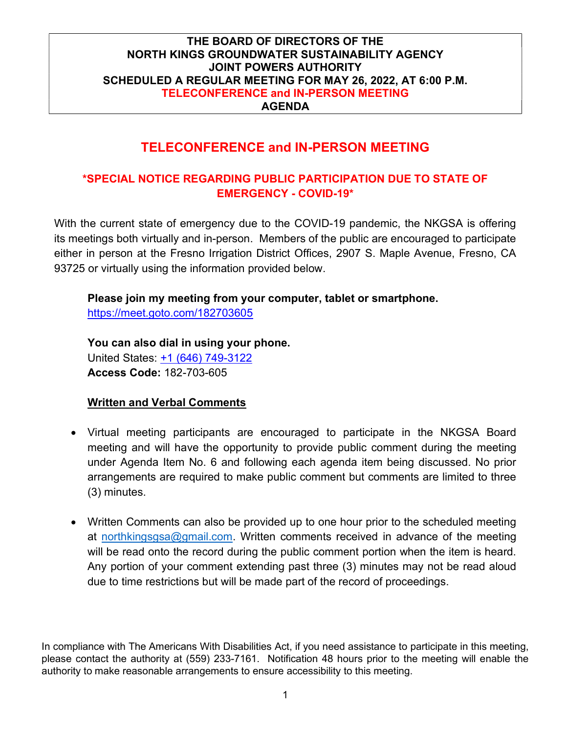## TELECONFERENCE and IN-PERSON MEETING

## \*SPECIAL NOTICE REGARDING PUBLIC PARTICIPATION DUE TO STATE OF EMERGENCY - COVID-19\*

With the current state of emergency due to the COVID-19 pandemic, the NKGSA is offering its meetings both virtually and in-person. Members of the public are encouraged to participate either in person at the Fresno Irrigation District Offices, 2907 S. Maple Avenue, Fresno, CA 93725 or virtually using the information provided below.

## Please join my meeting from your computer, tablet or smartphone.

https://meet.goto.com/182703605

You can also dial in using your phone. United States: +1 (646) 749-3122 Access Code: 182-703-605

## **Written and Verbal Comments**

- Virtual meeting participants are encouraged to participate in the NKGSA Board meeting and will have the opportunity to provide public comment during the meeting under Agenda Item No. 6 and following each agenda item being discussed. No prior arrangements are required to make public comment but comments are limited to three (3) minutes.
- Written Comments can also be provided up to one hour prior to the scheduled meeting at northkingsgsa@gmail.com. Written comments received in advance of the meeting will be read onto the record during the public comment portion when the item is heard. Any portion of your comment extending past three (3) minutes may not be read aloud due to time restrictions but will be made part of the record of proceedings.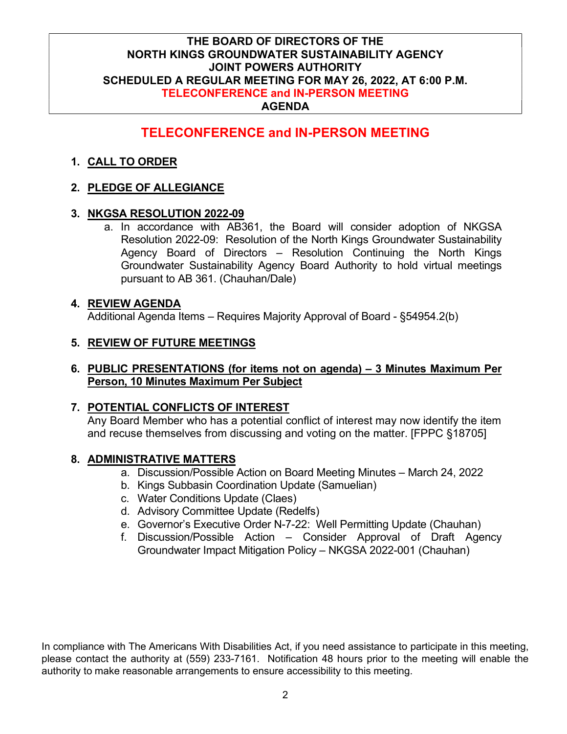## TELECONFERENCE and IN-PERSON MEETING

### 1. CALL TO ORDER

### 2. PLEDGE OF ALLEGIANCE

#### 3. NKGSA RESOLUTION 2022-09

a. In accordance with AB361, the Board will consider adoption of NKGSA Resolution 2022-09: Resolution of the North Kings Groundwater Sustainability Agency Board of Directors – Resolution Continuing the North Kings Groundwater Sustainability Agency Board Authority to hold virtual meetings pursuant to AB 361. (Chauhan/Dale)

#### 4. REVIEW AGENDA

Additional Agenda Items – Requires Majority Approval of Board - §54954.2(b)

### 5. REVIEW OF FUTURE MEETINGS

#### 6. PUBLIC PRESENTATIONS (for items not on agenda) – 3 Minutes Maximum Per Person, 10 Minutes Maximum Per Subject

#### 7. POTENTIAL CONFLICTS OF INTEREST

Any Board Member who has a potential conflict of interest may now identify the item and recuse themselves from discussing and voting on the matter. [FPPC §18705]

#### 8. ADMINISTRATIVE MATTERS

- a. Discussion/Possible Action on Board Meeting Minutes March 24, 2022
- b. Kings Subbasin Coordination Update (Samuelian)
- c. Water Conditions Update (Claes)
- d. Advisory Committee Update (Redelfs)
- e. Governor's Executive Order N-7-22: Well Permitting Update (Chauhan)
- f. Discussion/Possible Action Consider Approval of Draft Agency Groundwater Impact Mitigation Policy – NKGSA 2022-001 (Chauhan)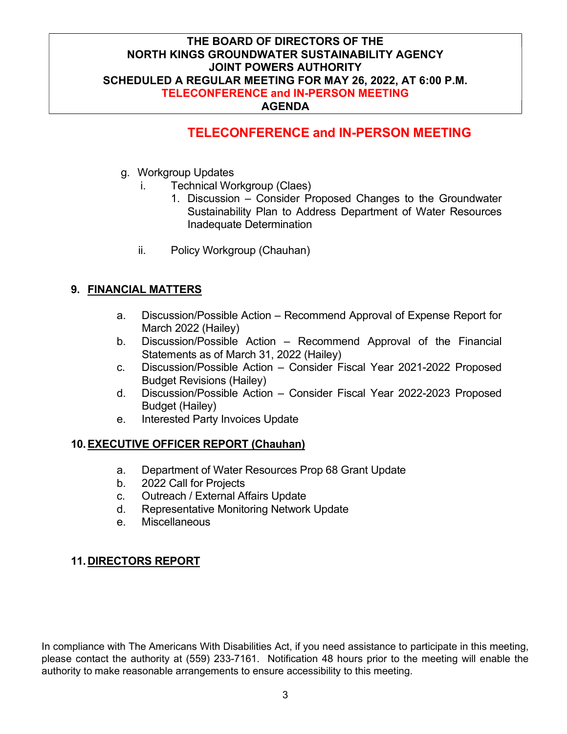## TELECONFERENCE and IN-PERSON MEETING

- g. Workgroup Updates
	- i. Technical Workgroup (Claes)
		- 1. Discussion Consider Proposed Changes to the Groundwater Sustainability Plan to Address Department of Water Resources Inadequate Determination
	- ii. Policy Workgroup (Chauhan)

## 9. FINANCIAL MATTERS

- a. Discussion/Possible Action Recommend Approval of Expense Report for March 2022 (Hailey)
- b. Discussion/Possible Action Recommend Approval of the Financial Statements as of March 31, 2022 (Hailey)
- c. Discussion/Possible Action Consider Fiscal Year 2021-2022 Proposed Budget Revisions (Hailey)
- d. Discussion/Possible Action Consider Fiscal Year 2022-2023 Proposed Budget (Hailey)
- e. Interested Party Invoices Update

#### 10. EXECUTIVE OFFICER REPORT (Chauhan)

- a. Department of Water Resources Prop 68 Grant Update
- b. 2022 Call for Projects
- c. Outreach / External Affairs Update
- d. Representative Monitoring Network Update
- e. Miscellaneous

## 11. DIRECTORS REPORT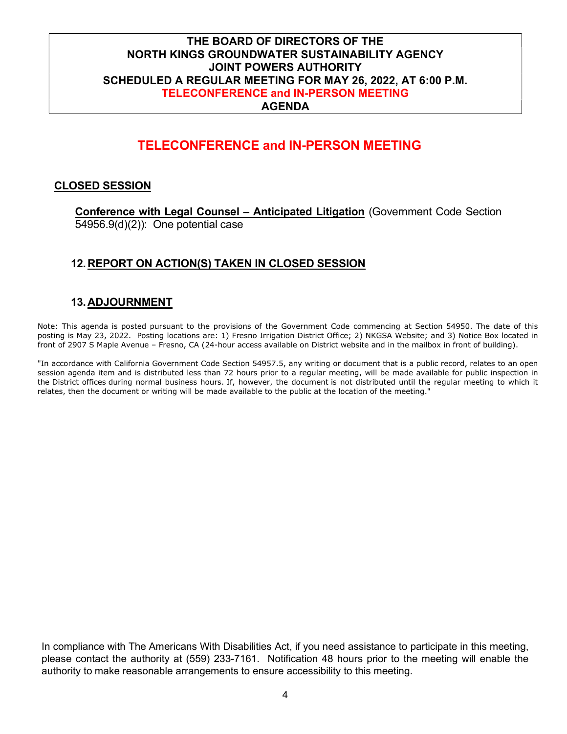## TELECONFERENCE and IN-PERSON MEETING

#### CLOSED SESSION

Conference with Legal Counsel – Anticipated Litigation (Government Code Section 54956.9(d)(2)): One potential case

## 12. REPORT ON ACTION(S) TAKEN IN CLOSED SESSION

#### 13. ADJOURNMENT

Note: This agenda is posted pursuant to the provisions of the Government Code commencing at Section 54950. The date of this posting is May 23, 2022. Posting locations are: 1) Fresno Irrigation District Office; 2) NKGSA Website; and 3) Notice Box located in front of 2907 S Maple Avenue – Fresno, CA (24-hour access available on District website and in the mailbox in front of building).

"In accordance with California Government Code Section 54957.5, any writing or document that is a public record, relates to an open session agenda item and is distributed less than 72 hours prior to a regular meeting, will be made available for public inspection in the District offices during normal business hours. If, however, the document is not distributed until the regular meeting to which it relates, then the document or writing will be made available to the public at the location of the meeting."